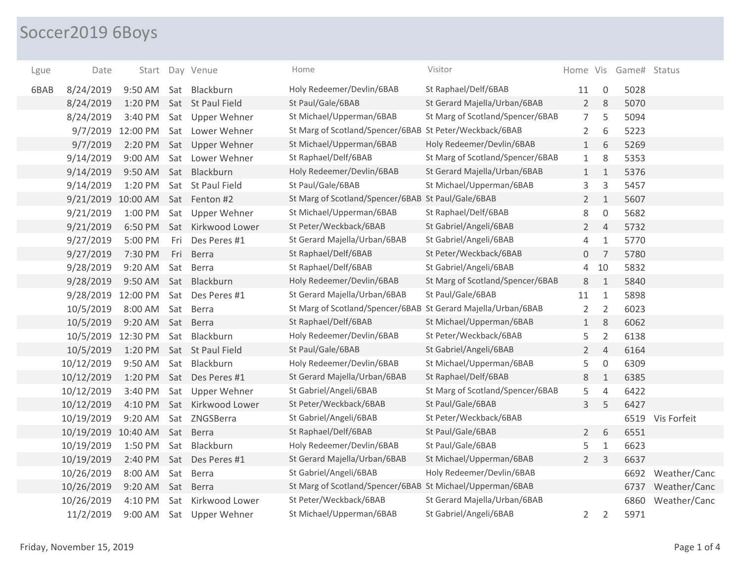## Soccer2019 6Boys

| Lgue | Date       | Start    |     | Day Venue           | Home                                                          | Visitor                          |                |                | Home Vis Game# Status |                  |
|------|------------|----------|-----|---------------------|---------------------------------------------------------------|----------------------------------|----------------|----------------|-----------------------|------------------|
| 6BAB | 8/24/2019  | 9:50 AM  |     | Sat Blackburn       | Holy Redeemer/Devlin/6BAB                                     | St Raphael/Delf/6BAB             | 11             | 0              | 5028                  |                  |
|      | 8/24/2019  | 1:20 PM  |     | Sat St Paul Field   | St Paul/Gale/6BAB                                             | St Gerard Majella/Urban/6BAB     | $2^{\circ}$    | 8              | 5070                  |                  |
|      | 8/24/2019  | 3:40 PM  |     | Sat Upper Wehner    | St Michael/Upperman/6BAB                                      | St Marg of Scotland/Spencer/6BAB | $\overline{7}$ | 5              | 5094                  |                  |
|      | 9/7/2019   | 12:00 PM |     | Sat Lower Wehner    | St Marg of Scotland/Spencer/6BAB St Peter/Weckback/6BAB       |                                  | $\overline{2}$ | 6              | 5223                  |                  |
|      | 9/7/2019   | 2:20 PM  |     | Sat Upper Wehner    | St Michael/Upperman/6BAB                                      | Holy Redeemer/Devlin/6BAB        | $\mathbf{1}$   | 6              | 5269                  |                  |
|      | 9/14/2019  | 9:00 AM  |     | Sat Lower Wehner    | St Raphael/Delf/6BAB                                          | St Marg of Scotland/Spencer/6BAB | $\mathbf{1}$   | 8              | 5353                  |                  |
|      | 9/14/2019  | 9:50 AM  |     | Sat Blackburn       | Holy Redeemer/Devlin/6BAB                                     | St Gerard Majella/Urban/6BAB     | $\mathbf{1}$   | $\mathbf{1}$   | 5376                  |                  |
|      | 9/14/2019  | 1:20 PM  |     | Sat St Paul Field   | St Paul/Gale/6BAB                                             | St Michael/Upperman/6BAB         | 3              | 3              | 5457                  |                  |
|      | 9/21/2019  | 10:00 AM |     | Sat Fenton #2       | St Marg of Scotland/Spencer/6BAB St Paul/Gale/6BAB            |                                  | $2^{\circ}$    | $\mathbf{1}$   | 5607                  |                  |
|      | 9/21/2019  | 1:00 PM  |     | Sat Upper Wehner    | St Michael/Upperman/6BAB                                      | St Raphael/Delf/6BAB             | 8              | $\overline{0}$ | 5682                  |                  |
|      | 9/21/2019  | 6:50 PM  |     | Sat Kirkwood Lower  | St Peter/Weckback/6BAB                                        | St Gabriel/Angeli/6BAB           | $\overline{2}$ | $\overline{4}$ | 5732                  |                  |
|      | 9/27/2019  | 5:00 PM  | Fri | Des Peres #1        | St Gerard Majella/Urban/6BAB                                  | St Gabriel/Angeli/6BAB           | $\overline{4}$ | $\mathbf{1}$   | 5770                  |                  |
|      | 9/27/2019  | 7:30 PM  | Fri | Berra               | St Raphael/Delf/6BAB                                          | St Peter/Weckback/6BAB           | $\overline{0}$ | $\overline{7}$ | 5780                  |                  |
|      | 9/28/2019  | 9:20 AM  | Sat | <b>Berra</b>        | St Raphael/Delf/6BAB                                          | St Gabriel/Angeli/6BAB           | $\overline{4}$ | 10             | 5832                  |                  |
|      | 9/28/2019  | 9:50 AM  |     | Sat Blackburn       | Holy Redeemer/Devlin/6BAB                                     | St Marg of Scotland/Spencer/6BAB | 8              | $\mathbf{1}$   | 5840                  |                  |
|      | 9/28/2019  | 12:00 PM |     | Sat Des Peres #1    | St Gerard Majella/Urban/6BAB                                  | St Paul/Gale/6BAB                | 11             | $\mathbf{1}$   | 5898                  |                  |
|      | 10/5/2019  | 8:00 AM  | Sat | Berra               | St Marg of Scotland/Spencer/6BAB St Gerard Majella/Urban/6BAB |                                  | $\overline{2}$ | 2              | 6023                  |                  |
|      | 10/5/2019  | 9:20 AM  | Sat | Berra               | St Raphael/Delf/6BAB                                          | St Michael/Upperman/6BAB         | $\mathbf{1}$   | 8              | 6062                  |                  |
|      | 10/5/2019  | 12:30 PM | Sat | Blackburn           | Holy Redeemer/Devlin/6BAB                                     | St Peter/Weckback/6BAB           | 5              | $\overline{2}$ | 6138                  |                  |
|      | 10/5/2019  | 1:20 PM  |     | Sat St Paul Field   | St Paul/Gale/6BAB                                             | St Gabriel/Angeli/6BAB           | $\overline{2}$ | $\overline{4}$ | 6164                  |                  |
|      | 10/12/2019 | 9:50 AM  | Sat | Blackburn           | Holy Redeemer/Devlin/6BAB                                     | St Michael/Upperman/6BAB         | 5              | $\mathsf{O}$   | 6309                  |                  |
|      | 10/12/2019 | 1:20 PM  |     | Sat Des Peres #1    | St Gerard Majella/Urban/6BAB                                  | St Raphael/Delf/6BAB             | 8              | $\mathbf{1}$   | 6385                  |                  |
|      | 10/12/2019 | 3:40 PM  | Sat | <b>Upper Wehner</b> | St Gabriel/Angeli/6BAB                                        | St Marg of Scotland/Spencer/6BAB | 5              | $\overline{4}$ | 6422                  |                  |
|      | 10/12/2019 | 4:10 PM  |     | Sat Kirkwood Lower  | St Peter/Weckback/6BAB                                        | St Paul/Gale/6BAB                | 3              | 5              | 6427                  |                  |
|      | 10/19/2019 | 9:20 AM  |     | Sat ZNGSBerra       | St Gabriel/Angeli/6BAB                                        | St Peter/Weckback/6BAB           |                |                |                       | 6519 Vis Forfeit |
|      | 10/19/2019 | 10:40 AM | Sat | Berra               | St Raphael/Delf/6BAB                                          | St Paul/Gale/6BAB                | $2^{\circ}$    | 6              | 6551                  |                  |
|      | 10/19/2019 | 1:50 PM  | Sat | Blackburn           | Holy Redeemer/Devlin/6BAB                                     | St Paul/Gale/6BAB                | 5              | $1\,$          | 6623                  |                  |
|      | 10/19/2019 | 2:40 PM  |     | Sat Des Peres #1    | St Gerard Majella/Urban/6BAB                                  | St Michael/Upperman/6BAB         | $2^{\circ}$    | $\overline{3}$ | 6637                  |                  |
|      | 10/26/2019 | 8:00 AM  |     | Sat Berra           | St Gabriel/Angeli/6BAB                                        | Holy Redeemer/Devlin/6BAB        |                |                | 6692                  | Weather/Canc     |
|      | 10/26/2019 | 9:20 AM  |     | Sat Berra           | St Marg of Scotland/Spencer/6BAB St Michael/Upperman/6BAB     |                                  |                |                | 6737                  | Weather/Canc     |
|      | 10/26/2019 | 4:10 PM  | Sat | Kirkwood Lower      | St Peter/Weckback/6BAB                                        | St Gerard Majella/Urban/6BAB     |                |                | 6860                  | Weather/Canc     |
|      | 11/2/2019  | 9:00 AM  |     | Sat Upper Wehner    | St Michael/Upperman/6BAB                                      | St Gabriel/Angeli/6BAB           | $\overline{2}$ | $\overline{2}$ | 5971                  |                  |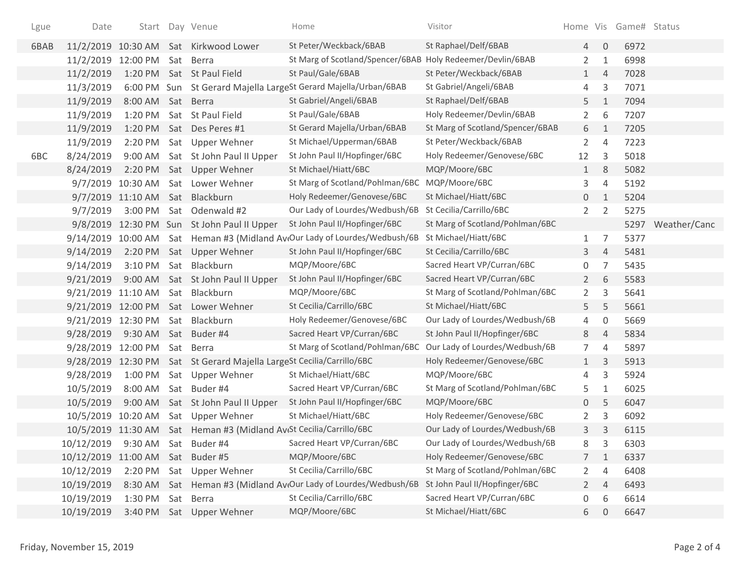| Lgue | Date                             |                   |     | Start Day Venue                                                     | Home                                                            | Visitor                          | Home Vis       |                | Game# Status |              |
|------|----------------------------------|-------------------|-----|---------------------------------------------------------------------|-----------------------------------------------------------------|----------------------------------|----------------|----------------|--------------|--------------|
| 6BAB |                                  |                   |     | 11/2/2019 10:30 AM Sat Kirkwood Lower                               | St Peter/Weckback/6BAB                                          | St Raphael/Delf/6BAB             | 4              | $\mathbf 0$    | 6972         |              |
|      | 11/2/2019 12:00 PM               |                   |     | Sat Berra                                                           | St Marg of Scotland/Spencer/6BAB Holy Redeemer/Devlin/6BAB      |                                  | $\overline{2}$ | $\mathbf{1}$   | 6998         |              |
|      | 11/2/2019                        | 1:20 PM           |     | Sat St Paul Field                                                   | St Paul/Gale/6BAB                                               | St Peter/Weckback/6BAB           | $\mathbf{1}$   | $\overline{4}$ | 7028         |              |
|      | 11/3/2019                        |                   |     |                                                                     | 6:00 PM Sun St Gerard Majella LargeSt Gerard Majella/Urban/6BAB | St Gabriel/Angeli/6BAB           | 4              | 3              | 7071         |              |
|      | 11/9/2019                        | 8:00 AM           |     | Sat Berra                                                           | St Gabriel/Angeli/6BAB                                          | St Raphael/Delf/6BAB             | 5              | $\mathbf{1}$   | 7094         |              |
|      | 11/9/2019                        | 1:20 PM           |     | Sat St Paul Field                                                   | St Paul/Gale/6BAB                                               | Holy Redeemer/Devlin/6BAB        | $\overline{2}$ | 6              | 7207         |              |
|      | 11/9/2019                        | 1:20 PM           |     | Sat Des Peres #1                                                    | St Gerard Majella/Urban/6BAB                                    | St Marg of Scotland/Spencer/6BAB | 6              | $\mathbf{1}$   | 7205         |              |
|      | 11/9/2019                        | 2:20 PM           |     | Sat Upper Wehner                                                    | St Michael/Upperman/6BAB                                        | St Peter/Weckback/6BAB           | $\overline{2}$ | $\overline{4}$ | 7223         |              |
| 6BC  | 8/24/2019                        | 9:00 AM           |     | Sat St John Paul II Upper                                           | St John Paul II/Hopfinger/6BC                                   | Holy Redeemer/Genovese/6BC       | 12             | 3              | 5018         |              |
|      | 8/24/2019                        | 2:20 PM           |     | Sat Upper Wehner                                                    | St Michael/Hiatt/6BC                                            | MQP/Moore/6BC                    | $\mathbf{1}$   | 8              | 5082         |              |
|      | 9/7/2019                         | 10:30 AM          |     | Sat Lower Wehner                                                    | St Marg of Scotland/Pohlman/6BC MQP/Moore/6BC                   |                                  | 3              | $\overline{4}$ | 5192         |              |
|      |                                  | 9/7/2019 11:10 AM | Sat | Blackburn                                                           | Holy Redeemer/Genovese/6BC                                      | St Michael/Hiatt/6BC             | 0              | $\mathbf{1}$   | 5204         |              |
|      | 9/7/2019                         | 3:00 PM           |     | Sat Odenwald #2                                                     | Our Lady of Lourdes/Wedbush/6B                                  | St Cecilia/Carrillo/6BC          | $\overline{2}$ | 2              | 5275         |              |
|      |                                  |                   |     | 9/8/2019 12:30 PM Sun St John Paul II Upper                         | St John Paul II/Hopfinger/6BC                                   | St Marg of Scotland/Pohlman/6BC  |                |                | 5297         | Weather/Canc |
|      | 9/14/2019 10:00 AM               |                   |     |                                                                     | Sat Heman #3 (Midland Av(Our Lady of Lourdes/Wedbush/6B         | St Michael/Hiatt/6BC             | $\mathbf{1}$   | $\overline{7}$ | 5377         |              |
|      | 9/14/2019                        | 2:20 PM           |     | Sat Upper Wehner                                                    | St John Paul II/Hopfinger/6BC                                   | St Cecilia/Carrillo/6BC          | 3              | $\overline{4}$ | 5481         |              |
|      | 9/14/2019                        | 3:10 PM           |     | Sat Blackburn                                                       | MQP/Moore/6BC                                                   | Sacred Heart VP/Curran/6BC       | 0              | 7              | 5435         |              |
|      | 9/21/2019                        |                   |     | 9:00 AM Sat St John Paul II Upper                                   | St John Paul II/Hopfinger/6BC                                   | Sacred Heart VP/Curran/6BC       | $\overline{2}$ | 6              | 5583         |              |
|      | 9/21/2019                        | 11:10 AM          |     | Sat Blackburn                                                       | MQP/Moore/6BC                                                   | St Marg of Scotland/Pohlman/6BC  | $\overline{2}$ | 3              | 5641         |              |
|      | 9/21/2019 12:00 PM               |                   |     | Sat Lower Wehner                                                    | St Cecilia/Carrillo/6BC                                         | St Michael/Hiatt/6BC             | 5              | 5              | 5661         |              |
|      | 9/21/2019 12:30 PM               |                   |     | Sat Blackburn                                                       | Holy Redeemer/Genovese/6BC                                      | Our Lady of Lourdes/Wedbush/6B   | 4              | 0              | 5669         |              |
|      | 9/28/2019                        | 9:30 AM           |     | Sat Buder #4                                                        | Sacred Heart VP/Curran/6BC                                      | St John Paul II/Hopfinger/6BC    | 8              | 4              | 5834         |              |
|      | 9/28/2019 12:00 PM               |                   |     | Sat Berra                                                           | St Marg of Scotland/Pohlman/6BC                                 | Our Lady of Lourdes/Wedbush/6B   | $\overline{7}$ | $\overline{4}$ | 5897         |              |
|      | 9/28/2019 12:30 PM               |                   |     | Sat St Gerard Majella LargeSt Cecilia/Carrillo/6BC                  |                                                                 | Holy Redeemer/Genovese/6BC       | $\mathbf{1}$   | 3              | 5913         |              |
|      | 9/28/2019                        | 1:00 PM           |     | Sat Upper Wehner                                                    | St Michael/Hiatt/6BC                                            | MQP/Moore/6BC                    | 4              | 3              | 5924         |              |
|      | 10/5/2019                        | 8:00 AM           |     | Sat Buder #4                                                        | Sacred Heart VP/Curran/6BC                                      | St Marg of Scotland/Pohlman/6BC  | 5              | 1              | 6025         |              |
|      | 10/5/2019                        | $9:00$ AM         |     | Sat St John Paul II Upper                                           | St John Paul II/Hopfinger/6BC                                   | MQP/Moore/6BC                    | 0              | 5              | 6047         |              |
|      | 10/5/2019 10:20 AM               |                   |     | Sat Upper Wehner                                                    | St Michael/Hiatt/6BC                                            | Holy Redeemer/Genovese/6BC       | $\overline{2}$ | 3              | 6092         |              |
|      |                                  |                   |     | 10/5/2019 11:30 AM Sat Heman #3 (Midland AveSt Cecilia/Carrillo/6BC |                                                                 | Our Lady of Lourdes/Wedbush/6B   | 3              | 3              | 6115         |              |
|      | 10/12/2019                       |                   |     | 9:30 AM Sat Buder #4                                                | Sacred Heart VP/Curran/6BC                                      | Our Lady of Lourdes/Wedbush/6B   | 8              | 3              | 6303         |              |
|      | 10/12/2019 11:00 AM Sat Buder #5 |                   |     |                                                                     | MQP/Moore/6BC                                                   | Holy Redeemer/Genovese/6BC       | $7^{\circ}$    | 1              | 6337         |              |
|      | 10/12/2019                       | 2:20 PM           |     | Sat Upper Wehner                                                    | St Cecilia/Carrillo/6BC                                         | St Marg of Scotland/Pohlman/6BC  | $\mathbf{2}$   | 4              | 6408         |              |
|      | 10/19/2019                       | 8:30 AM           |     |                                                                     | Sat Heman #3 (Midland Av(Our Lady of Lourdes/Wedbush/6B         | St John Paul II/Hopfinger/6BC    | $\mathbf{2}$   | $\overline{4}$ | 6493         |              |
|      | 10/19/2019                       | 1:30 PM           |     | Sat Berra                                                           | St Cecilia/Carrillo/6BC                                         | Sacred Heart VP/Curran/6BC       | 0              | 6              | 6614         |              |
|      | 10/19/2019                       |                   |     | 3:40 PM Sat Upper Wehner                                            | MQP/Moore/6BC                                                   | St Michael/Hiatt/6BC             | 6              | 0              | 6647         |              |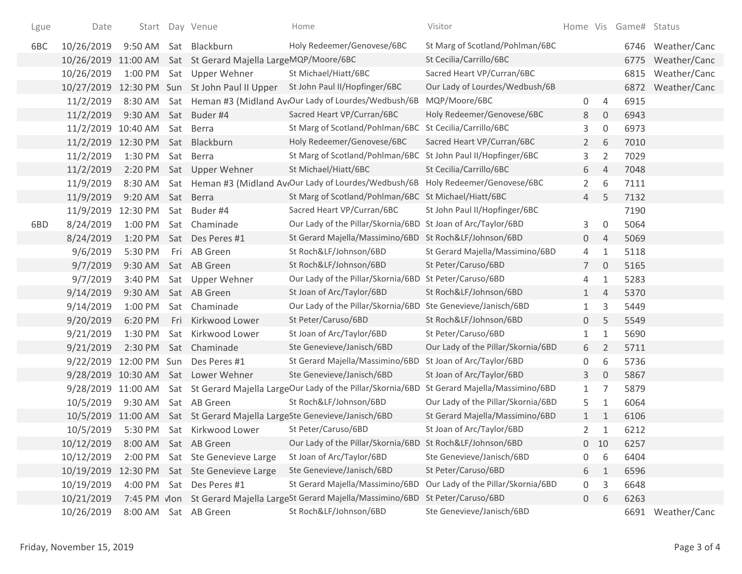| Lgue | Date                             |          |     | Start Day Venue                                              | Home                                                                    | Visitor                            |                |                     | Home Vis Game# Status |                   |
|------|----------------------------------|----------|-----|--------------------------------------------------------------|-------------------------------------------------------------------------|------------------------------------|----------------|---------------------|-----------------------|-------------------|
| 6BC  | 10/26/2019                       | 9:50 AM  |     | Sat Blackburn                                                | Holy Redeemer/Genovese/6BC                                              | St Marg of Scotland/Pohlman/6BC    |                |                     | 6746                  | Weather/Canc      |
|      |                                  |          |     | 10/26/2019 11:00 AM Sat St Gerard Majella LargeMQP/Moore/6BC |                                                                         | St Cecilia/Carrillo/6BC            |                |                     | 6775                  | Weather/Canc      |
|      | 10/26/2019                       |          |     | 1:00 PM Sat Upper Wehner                                     | St Michael/Hiatt/6BC                                                    | Sacred Heart VP/Curran/6BC         |                |                     | 6815                  | Weather/Canc      |
|      |                                  |          |     | 10/27/2019 12:30 PM Sun St John Paul II Upper                | St John Paul II/Hopfinger/6BC                                           | Our Lady of Lourdes/Wedbush/6B     |                |                     | 6872                  | Weather/Canc      |
|      | 11/2/2019                        |          |     |                                                              | 8:30 AM Sat Heman #3 (Midland Av(Our Lady of Lourdes/Wedbush/6B         | MQP/Moore/6BC                      | 0              | 4                   | 6915                  |                   |
|      | 11/2/2019                        |          |     | 9:30 AM Sat Buder #4                                         | Sacred Heart VP/Curran/6BC                                              | Holy Redeemer/Genovese/6BC         | 8              | $\mathbf 0$         | 6943                  |                   |
|      | 11/2/2019 10:40 AM               |          |     | Sat Berra                                                    | St Marg of Scotland/Pohlman/6BC                                         | St Cecilia/Carrillo/6BC            | 3              | $\boldsymbol{0}$    | 6973                  |                   |
|      | 11/2/2019 12:30 PM Sat Blackburn |          |     |                                                              | Holy Redeemer/Genovese/6BC                                              | Sacred Heart VP/Curran/6BC         | $\overline{2}$ | 6                   | 7010                  |                   |
|      | 11/2/2019                        | 1:30 PM  |     | Sat Berra                                                    | St Marg of Scotland/Pohlman/6BC                                         | St John Paul II/Hopfinger/6BC      | 3              | $\overline{2}$      | 7029                  |                   |
|      | 11/2/2019                        |          |     | 2:20 PM Sat Upper Wehner                                     | St Michael/Hiatt/6BC                                                    | St Cecilia/Carrillo/6BC            | 6              | 4                   | 7048                  |                   |
|      | 11/9/2019                        |          |     |                                                              | 8:30 AM Sat Heman #3 (Midland Av Our Lady of Lourdes/Wedbush/6B         | Holy Redeemer/Genovese/6BC         | $\overline{2}$ | 6                   | 7111                  |                   |
|      | 11/9/2019                        | 9:20 AM  | Sat | Berra                                                        | St Marg of Scotland/Pohlman/6BC                                         | St Michael/Hiatt/6BC               | 4              | 5                   | 7132                  |                   |
|      | 11/9/2019                        | 12:30 PM |     | Sat Buder #4                                                 | Sacred Heart VP/Curran/6BC                                              | St John Paul II/Hopfinger/6BC      |                |                     | 7190                  |                   |
| 6BD  | 8/24/2019                        | 1:00 PM  |     | Sat Chaminade                                                | Our Lady of the Pillar/Skornia/6BD                                      | St Joan of Arc/Taylor/6BD          | 3              | 0                   | 5064                  |                   |
|      | 8/24/2019                        |          |     | 1:20 PM Sat Des Peres #1                                     | St Gerard Majella/Massimino/6BD St Roch&LF/Johnson/6BD                  |                                    | 0              | 4                   | 5069                  |                   |
|      | 9/6/2019                         | 5:30 PM  |     | Fri AB Green                                                 | St Roch&LF/Johnson/6BD                                                  | St Gerard Majella/Massimino/6BD    | 4              | $\mathbf{1}$        | 5118                  |                   |
|      | 9/7/2019                         | 9:30 AM  |     | Sat AB Green                                                 | St Roch&LF/Johnson/6BD                                                  | St Peter/Caruso/6BD                | $\overline{7}$ | $\mathsf{O}\xspace$ | 5165                  |                   |
|      | 9/7/2019                         | 3:40 PM  |     | Sat Upper Wehner                                             | Our Lady of the Pillar/Skornia/6BD St Peter/Caruso/6BD                  |                                    | 4              | $\mathbf{1}$        | 5283                  |                   |
|      | 9/14/2019                        | 9:30 AM  |     | Sat AB Green                                                 | St Joan of Arc/Taylor/6BD                                               | St Roch&LF/Johnson/6BD             | $\mathbf{1}$   | 4                   | 5370                  |                   |
|      | 9/14/2019                        | 1:00 PM  |     | Sat Chaminade                                                | Our Lady of the Pillar/Skornia/6BD Ste Genevieve/Janisch/6BD            |                                    | 1              | 3                   | 5449                  |                   |
|      | 9/20/2019                        | 6:20 PM  | Fri | Kirkwood Lower                                               | St Peter/Caruso/6BD                                                     | St Roch&LF/Johnson/6BD             | 0              | 5                   | 5549                  |                   |
|      | 9/21/2019                        | 1:30 PM  |     | Sat Kirkwood Lower                                           | St Joan of Arc/Taylor/6BD                                               | St Peter/Caruso/6BD                | 1              | 1                   | 5690                  |                   |
|      | 9/21/2019                        |          |     | 2:30 PM Sat Chaminade                                        | Ste Genevieve/Janisch/6BD                                               | Our Lady of the Pillar/Skornia/6BD | 6              | $\overline{2}$      | 5711                  |                   |
|      | 9/22/2019 12:00 PM Sun           |          |     | Des Peres #1                                                 | St Gerard Majella/Massimino/6BD                                         | St Joan of Arc/Taylor/6BD          | 0              | 6                   | 5736                  |                   |
|      |                                  |          |     | 9/28/2019 10:30 AM Sat Lower Wehner                          | Ste Genevieve/Janisch/6BD                                               | St Joan of Arc/Taylor/6BD          | 3              | $\mathbf 0$         | 5867                  |                   |
|      | 9/28/2019 11:00 AM               |          |     |                                                              | Sat St Gerard Majella LargeOur Lady of the Pillar/Skornia/6BD           | St Gerard Majella/Massimino/6BD    | 1              | 7                   | 5879                  |                   |
|      | 10/5/2019                        |          |     | 9:30 AM Sat AB Green                                         | St Roch&LF/Johnson/6BD                                                  | Our Lady of the Pillar/Skornia/6BD | 5              | 1                   | 6064                  |                   |
|      |                                  |          |     |                                                              | 10/5/2019 11:00 AM Sat St Gerard Majella LargeSte Genevieve/Janisch/6BD | St Gerard Majella/Massimino/6BD    | $\mathbf{1}$   | 1                   | 6106                  |                   |
|      | 10/5/2019                        |          |     | 5:30 PM Sat Kirkwood Lower                                   | St Peter/Caruso/6BD                                                     | St Joan of Arc/Taylor/6BD          | $\overline{2}$ | 1                   | 6212                  |                   |
|      | 10/12/2019                       |          |     | 8:00 AM Sat AB Green                                         | Our Lady of the Pillar/Skornia/6BD St Roch&LF/Johnson/6BD               |                                    | 0              | 10                  | 6257                  |                   |
|      | 10/12/2019                       | 2:00 PM  |     | Sat Ste Genevieve Large                                      | St Joan of Arc/Taylor/6BD                                               | Ste Genevieve/Janisch/6BD          | 0              | 6                   | 6404                  |                   |
|      |                                  |          |     | 10/19/2019 12:30 PM Sat Ste Genevieve Large                  | Ste Genevieve/Janisch/6BD                                               | St Peter/Caruso/6BD                | 6              | 1                   | 6596                  |                   |
|      | 10/19/2019                       | 4:00 PM  |     | Sat Des Peres #1                                             | St Gerard Majella/Massimino/6BD                                         | Our Lady of the Pillar/Skornia/6BD | 0              | 3                   | 6648                  |                   |
|      | 10/21/2019                       |          |     |                                                              |                                                                         | St Peter/Caruso/6BD                | $\overline{0}$ | 6                   | 6263                  |                   |
|      | 10/26/2019                       | 8:00 AM  |     | Sat AB Green                                                 | St Roch&LF/Johnson/6BD                                                  | Ste Genevieve/Janisch/6BD          |                |                     |                       | 6691 Weather/Canc |